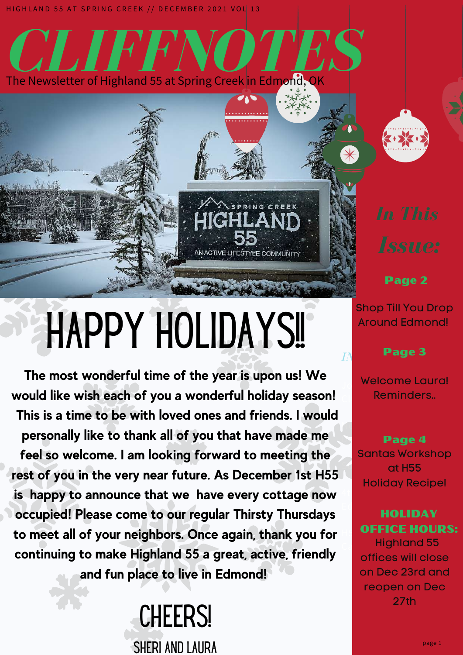

**CLIFFNOTES** 

# HAPPY HOLIDAYS!

AN ACTIVE LIFESTYLE COMMUNITY

**The most wonderful time of the year is upon us! We would like wish each of you a wonderful holiday season! This is a time to be with loved ones and friends. I would personally like to thank all of you that have made me feel so welcome. I am looking forward to meeting the rest of you in the very near future. As December 1st H55 is happy to announce that we have every cottage now occupied! Please come to our regular Thirsty Thursdays to meet all of your neighbors. Once again, thank you for continuing to make Highland 55 a great, active, friendly and fun place to live in Edmond!**

> **CHEERS!** SHERI AND LAURA



Page 2

Shop Till You Drop Around Edmond!

*IN THIS ISSUE:* Page 3

Welcome Laura!  $\mathsf{CL}$  . . Reminders..

News from Chef **Darring Page 4** Succulent Party 155 Santas Workshop Holiday Recipe!

4th of July in

#### Edmond! OFFICE HOURS: HOLIDAY

**Calendaris Highland 55** offices will close on Dec 23rd and reopen on Dec 27th

page 1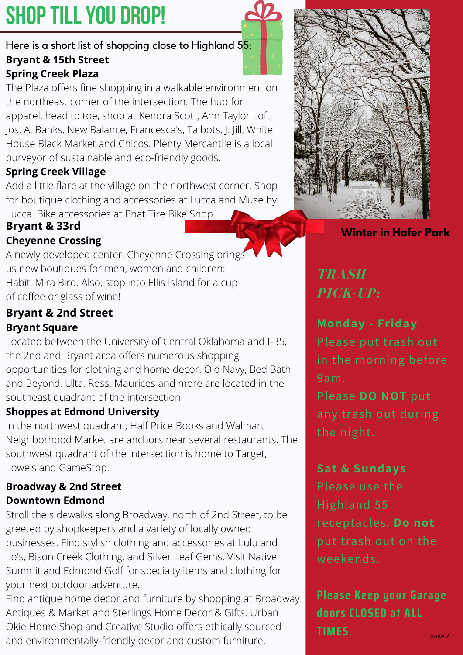## **SHOP TILL YOU DROP!**

#### Here is a short list of shopping close to Highland 55: **Bryant & 15th Street Spring Creek Plaza**

The Plaza offers fine shopping in a walkable environment on the northeast corner of the intersection. The hub for apparel, head to toe, shop at [Kendra](https://visitedmondok.com/loc/581/kendra-scott.htm) Scott, Ann [Taylor](https://visitedmondok.com/loc/661/ann-taylor-loft.htm) Loft, Jos. A. [Banks](https://visitedmondok.com/loc/630/jos-a-bank.htm), New [Balance](https://visitedmondok.com/loc/635/new-balance.htm), [Francesca's](https://visitedmondok.com/loc/662/francescas.htm)[,](https://visitedmondok.com/loc/666/white-house-black-market.htm) [Talbots,](https://visitedmondok.com/loc/663/talbots.htm) J. [Jill,](https://visitedmondok.com/loc/665/j-jill.htm) White House Black Market and [Chicos](https://visitedmondok.com/loc/733/chicos.htm). Plenty [Mercantile](https://visitedmondok.com/loc/657/plenty-mercantile.htm) is a local purveyor of sustainable and eco-friendly goods.

## **Spring Creek Village**

Add a little flare at the village on the northwest corner. Shop for boutique clothing and [accessories](https://visitedmondok.com/search.php?term=lucca&mobile_search_submit=) at [Lucca](https://visitedmondok.com/loc/670/lucca.htm) and Muse by Lucca. Bike accessories at Phat Tire Bike Shop.

## **Bryant & 33rd**

## **Cheyenne Crossing**

A newly developed center, Cheyenne Crossing brings us new boutiques for men, women and children: [Habit,](https://visitedmondok.com/loc/615/my-habit-shop.htm) [Mira](https://visitedmondok.com/loc/681/mira-bird.htm) Bird. Also, stop into Ellis Island for a cup of coffee or glass of wine!

## **Bryant & 2nd Street Bryant Square**

Located between the University of Central Oklahoma and I-35, the 2nd and Bryant area offers numerous shopping [opportunities](https://visitedmondok.com/loc/622/bed-bath-beyond.htm) for clothing and home decor. Old [Navy,](https://visitedmondok.com/loc/725/old-navy.htm) Bed Bath and Beyond, [Ulta](https://visitedmondok.com/loc/726/ulta-beauty.htm), [Ross,](https://visitedmondok.com/loc/624/ross-dress-for-less.htm) [Maurices](https://visitedmondok.com/loc/728/maurices.htm) and more are located in the southeast quadrant of the intersection.

## **Shoppes at Edmond University**

In the northwest quadrant, Half Price [Books](https://visitedmondok.com/loc/729/half-price-books.htm) and Walmart [Neighborhood](https://visitedmondok.com/loc/730/walmart-neighborhood-market.htm) Market are anchors near several restaurants. The southwest quadrant of the intersection is home to [Target,](https://visitedmondok.com/loc/620/target.htm) [Lowe's](https://visitedmondok.com/loc/731/lowes-home-improvement.htm) and [GameStop](https://visitedmondok.com/loc/732/gamestop.htm).

## **Broadway & 2nd Street Downtown Edmond**

Stroll the sidewalks along Broadway, north of 2nd Street, to be greeted by shopkeepers and a variety of locally owned businesses. Find stylish clothing and [accessories](https://visitedmondok.com/loc/667/lulu-los.htm) at Lulu and Lo's, Bison Creek [Clothing](https://visitedmondok.com/loc/668/bison-creek-clothing.htm)[,](https://visitedmondok.com/loc/548/native-summit.htm) and Silver Leaf [Gems.](https://visitedmondok.com/loc/551/silver-leaf-gems.htm) Visit Native Summit and [Edmond](https://visitedmondok.com/loc/654/edmond-golf.htm) Golf for specialty items and clothing for your next outdoor adventure.

Find antique home decor and furniture by shopping at [Broadway](https://visitedmondok.com/loc/279/broadway-antiques-market.htm) [Antiques](https://visitedmondok.com/loc/588/urban-okie-home-shop-and-creative-studio.htm) & Market and [Sterlings](https://visitedmondok.com/loc/612/sterlings-home-decor-gifts.htm) Home Decor & Gifts. Urban Okie Home Shop and Creative Studio offers ethically sourced and environmentally-friendly decor and custom furniture.



## **Winter in Hafer Park**

## *TRASH PICK-UP:*

**Monday - Friday**

in the morning before 9am.

Please **DO NOT** put any trash out during the night.

## **Sat & Sundays**

Please use the Highland 55 receptacles. **Do not** weekends.

**Please Keep your Garage doors CLOSED at ALL TIMES.**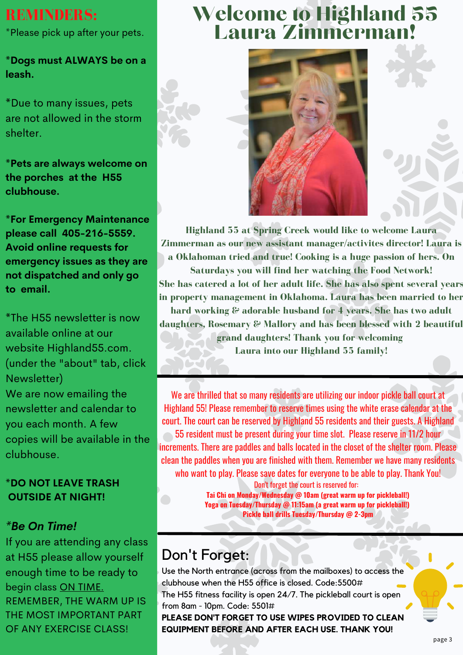## **REMINDERS:**

\*Please pick up after your pets.

**\*Dogs must ALWAYS be on a leash.**

**\***Due to many issues, pets are not allowed in the storm shelter.

**\*Pets are always welcome on the porches at the H55 clubhouse.**

**\*For Emergency Maintenance please call 405-216-5559. Avoid online requests for emergency issues as they are not dispatched and only go to email.**

**\***The H55 newsletter is now available online at our website Highland55.com. (under the "about" tab, click Newsletter)

We are now emailing the newsletter and calendar to you each month. A few copies will be available in the clubhouse.

#### **\*DO NOT LEAVE TRASH OUTSIDE AT NIGHT!**

## *\*Be On Time!*

If you are attending any class at H55 please allow yourself enough time to be ready to begin class ON TIME. REMEMBER, THE WARM UP IS THE MOST IMPORTANT PART OF ANY EXERCISE CLASS!

## Welcome to Highland 55 Laura Zimmerman!





**Highland 55 at Spring Creek would like to welcome Laura Zimmerman as our new assistant manager/activites director! Laura is a Oklahoman tried and true! Cooking is a huge passion of hers. On Saturdays you will find her watching the Food Network! She has catered a lot of her adult life. She has also spent several years in property management in Oklahoma. Laura has been married to her hard working & adorable husband for 4 years. She has two adult daughters, Rosemary & Mallory and has been blessed with 2 beautiful grand daughters! Thank you for welcoming Laura into our Highland 55 family!**

We are thrilled that so many residents are utilizing our indoor pickle ball court at Highland 55! Please remember to reserve times using the white erase calendar at the court. The court can be reserved by Highland 55 residents and their guests. A Highland 55 resident must be present during your time slot. Please reserve in 11/2 hour increments. There are paddles and balls located in the closet of the shelter room. Please clean the paddles when you are finished with them. Remember we have many residents who want to play. Please save dates for everyone to be able to play. Thank You!

Don't forget the court is reserved for: **Tai Chi on Monday/Wednesday @ 10am (great warm up for pickleball!) Yoga on Tuesday/Thursday @ 11:15am (a great warm up for pickleball!) Pickle ball drills Tuesday/Thursday @ 2-3pm**

## Don't Forget:

Use the North entrance (across from the mailboxes) to access the clubhouse when the H55 office is closed. Code:5500# The H55 fitness facility is open 24/7. The pickleball court is open from 8am - 10pm. Code: 5501#

**PLEASE DON'T FORGET TO USE WIPES PROVIDED TO CLEAN EQUIPMENT BEFORE AND AFTER EACH USE. THANK YOU!**